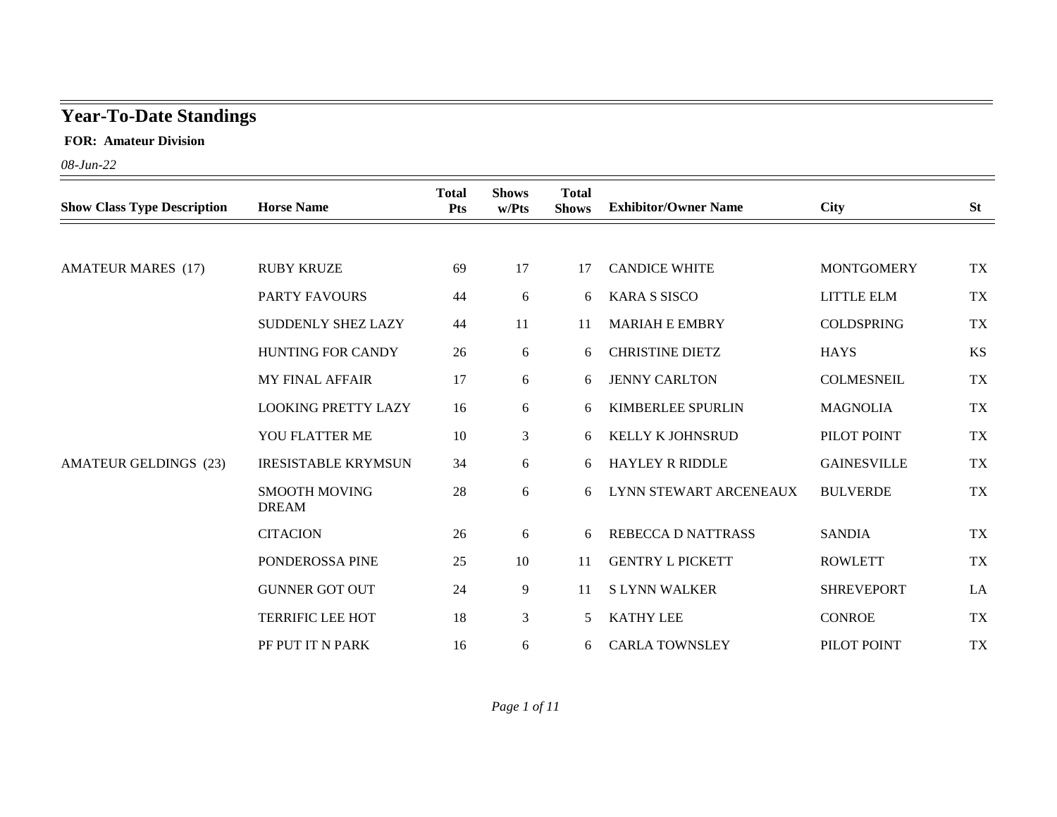## **Year-To-Date Standings**

 **FOR: Amateur Division**

*08-Jun-22*

|                                    |                                      | <b>Total</b> | <b>Shows</b>   | <b>Total</b> |                             |                                                                                                                                              |           |
|------------------------------------|--------------------------------------|--------------|----------------|--------------|-----------------------------|----------------------------------------------------------------------------------------------------------------------------------------------|-----------|
| <b>Show Class Type Description</b> | <b>Horse Name</b>                    | <b>Pts</b>   | w/Pts          | <b>Shows</b> | <b>Exhibitor/Owner Name</b> |                                                                                                                                              | <b>St</b> |
|                                    |                                      |              |                |              |                             |                                                                                                                                              |           |
| <b>AMATEUR MARES (17)</b>          | <b>RUBY KRUZE</b>                    | 69           | 17             | 17           | <b>CANDICE WHITE</b>        | <b>MONTGOMERY</b>                                                                                                                            | <b>TX</b> |
|                                    | PARTY FAVOURS                        | 44           | 6              | 6            | <b>KARA S SISCO</b>         | <b>LITTLE ELM</b>                                                                                                                            | <b>TX</b> |
|                                    | SUDDENLY SHEZ LAZY                   | 44           | 11             | 11           | <b>MARIAH E EMBRY</b>       | <b>COLDSPRING</b>                                                                                                                            | <b>TX</b> |
|                                    | <b>HUNTING FOR CANDY</b>             | 26           | 6              | 6            | <b>CHRISTINE DIETZ</b>      | <b>HAYS</b>                                                                                                                                  | KS        |
|                                    | <b>MY FINAL AFFAIR</b>               | 17           | 6              | 6            | <b>JENNY CARLTON</b>        | <b>COLMESNEIL</b>                                                                                                                            | <b>TX</b> |
|                                    | <b>LOOKING PRETTY LAZY</b>           | 16           | 6              | 6            | <b>KIMBERLEE SPURLIN</b>    | <b>MAGNOLIA</b>                                                                                                                              | <b>TX</b> |
|                                    | YOU FLATTER ME                       | 10           | $\overline{3}$ | 6            | KELLY K JOHNSRUD            | PILOT POINT                                                                                                                                  | <b>TX</b> |
| <b>AMATEUR GELDINGS (23)</b>       | <b>IRESISTABLE KRYMSUN</b>           | 34           | 6              | 6.           | <b>HAYLEY R RIDDLE</b>      | <b>City</b><br><b>GAINESVILLE</b><br><b>BULVERDE</b><br><b>SANDIA</b><br><b>ROWLETT</b><br><b>SHREVEPORT</b><br><b>CONROE</b><br>PILOT POINT | <b>TX</b> |
|                                    | <b>SMOOTH MOVING</b><br><b>DREAM</b> | 28           | 6              | 6.           | LYNN STEWART ARCENEAUX      |                                                                                                                                              | TX        |
|                                    | <b>CITACION</b>                      | 26           | 6              | 6            | <b>REBECCA D NATTRASS</b>   |                                                                                                                                              | <b>TX</b> |
|                                    | PONDEROSSA PINE                      | 25           | 10             | 11           | <b>GENTRY L PICKETT</b>     |                                                                                                                                              | <b>TX</b> |
|                                    | <b>GUNNER GOT OUT</b>                | 24           | 9              | 11           | <b>SLYNN WALKER</b>         |                                                                                                                                              | LA        |
|                                    | <b>TERRIFIC LEE HOT</b>              | 18           | 3              | 5            | <b>KATHY LEE</b>            |                                                                                                                                              | <b>TX</b> |
|                                    | PF PUT IT N PARK                     | 16           | 6              | 6            | <b>CARLA TOWNSLEY</b>       |                                                                                                                                              | TX        |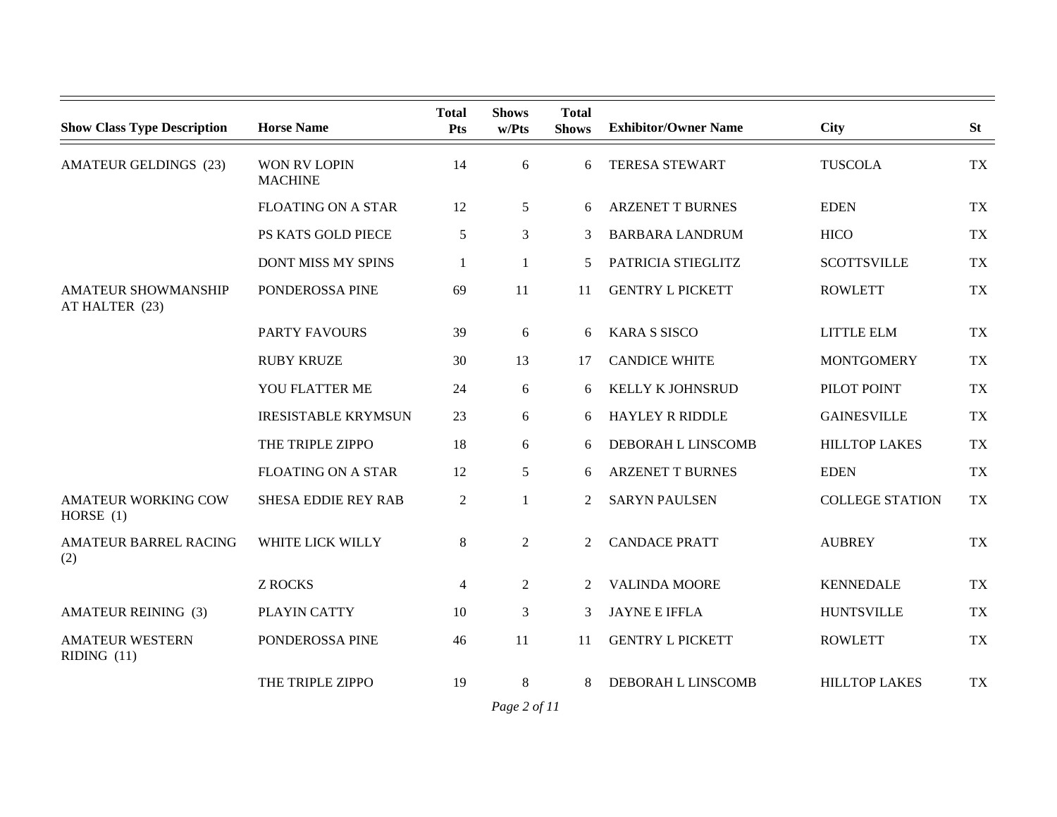| <b>Show Class Type Description</b>           | <b>Horse Name</b>                     | <b>Total</b><br><b>Pts</b> | <b>Shows</b><br>w/Pts | <b>Total</b><br><b>Shows</b> | <b>Exhibitor/Owner Name</b> | <b>City</b>            | <b>St</b> |
|----------------------------------------------|---------------------------------------|----------------------------|-----------------------|------------------------------|-----------------------------|------------------------|-----------|
| <b>AMATEUR GELDINGS (23)</b>                 | <b>WON RV LOPIN</b><br><b>MACHINE</b> | 14                         | 6                     | 6                            | <b>TERESA STEWART</b>       | <b>TUSCOLA</b>         | <b>TX</b> |
|                                              | <b>FLOATING ON A STAR</b>             | 12                         | 5                     | 6                            | <b>ARZENET T BURNES</b>     | <b>EDEN</b>            | <b>TX</b> |
|                                              | PS KATS GOLD PIECE                    | 5                          | 3                     | 3                            | <b>BARBARA LANDRUM</b>      | <b>HICO</b>            | <b>TX</b> |
|                                              | <b>DONT MISS MY SPINS</b>             | 1                          | 1                     | 5                            | PATRICIA STIEGLITZ          | <b>SCOTTSVILLE</b>     | <b>TX</b> |
| <b>AMATEUR SHOWMANSHIP</b><br>AT HALTER (23) | PONDEROSSA PINE                       | 69                         | 11                    | 11                           | <b>GENTRY L PICKETT</b>     | <b>ROWLETT</b>         | <b>TX</b> |
|                                              | <b>PARTY FAVOURS</b>                  | 39                         | 6                     | 6                            | <b>KARA S SISCO</b>         | LITTLE ELM             | <b>TX</b> |
|                                              | <b>RUBY KRUZE</b>                     | 30                         | 13                    | 17                           | <b>CANDICE WHITE</b>        | <b>MONTGOMERY</b>      | <b>TX</b> |
|                                              | YOU FLATTER ME                        | 24                         | 6                     | 6                            | <b>KELLY K JOHNSRUD</b>     | PILOT POINT            | <b>TX</b> |
|                                              | <b>IRESISTABLE KRYMSUN</b>            | 23                         | 6                     | 6                            | <b>HAYLEY R RIDDLE</b>      | <b>GAINESVILLE</b>     | <b>TX</b> |
|                                              | THE TRIPLE ZIPPO                      | 18                         | 6                     | 6                            | DEBORAH L LINSCOMB          | <b>HILLTOP LAKES</b>   | <b>TX</b> |
|                                              | <b>FLOATING ON A STAR</b>             | 12                         | 5                     | 6                            | <b>ARZENET T BURNES</b>     | <b>EDEN</b>            | <b>TX</b> |
| <b>AMATEUR WORKING COW</b><br>HORSE $(1)$    | <b>SHESA EDDIE REY RAB</b>            | $\overline{2}$             | 1                     | 2                            | <b>SARYN PAULSEN</b>        | <b>COLLEGE STATION</b> | <b>TX</b> |
| <b>AMATEUR BARREL RACING</b><br>(2)          | WHITE LICK WILLY                      | 8                          | $\overline{2}$        | 2                            | <b>CANDACE PRATT</b>        | <b>AUBREY</b>          | <b>TX</b> |
|                                              | <b>Z ROCKS</b>                        | 4                          | $\overline{2}$        | 2                            | <b>VALINDA MOORE</b>        | <b>KENNEDALE</b>       | <b>TX</b> |
| <b>AMATEUR REINING (3)</b>                   | PLAYIN CATTY                          | 10                         | 3                     | 3                            | <b>JAYNE E IFFLA</b>        | <b>HUNTSVILLE</b>      | <b>TX</b> |
| <b>AMATEUR WESTERN</b><br>RIDING $(11)$      | PONDEROSSA PINE                       | 46                         | 11                    | 11                           | <b>GENTRY L PICKETT</b>     | <b>ROWLETT</b>         | <b>TX</b> |
|                                              | THE TRIPLE ZIPPO                      | 19                         | 8                     | 8                            | DEBORAH L LINSCOMB          | <b>HILLTOP LAKES</b>   | <b>TX</b> |

*Page 2 of 11*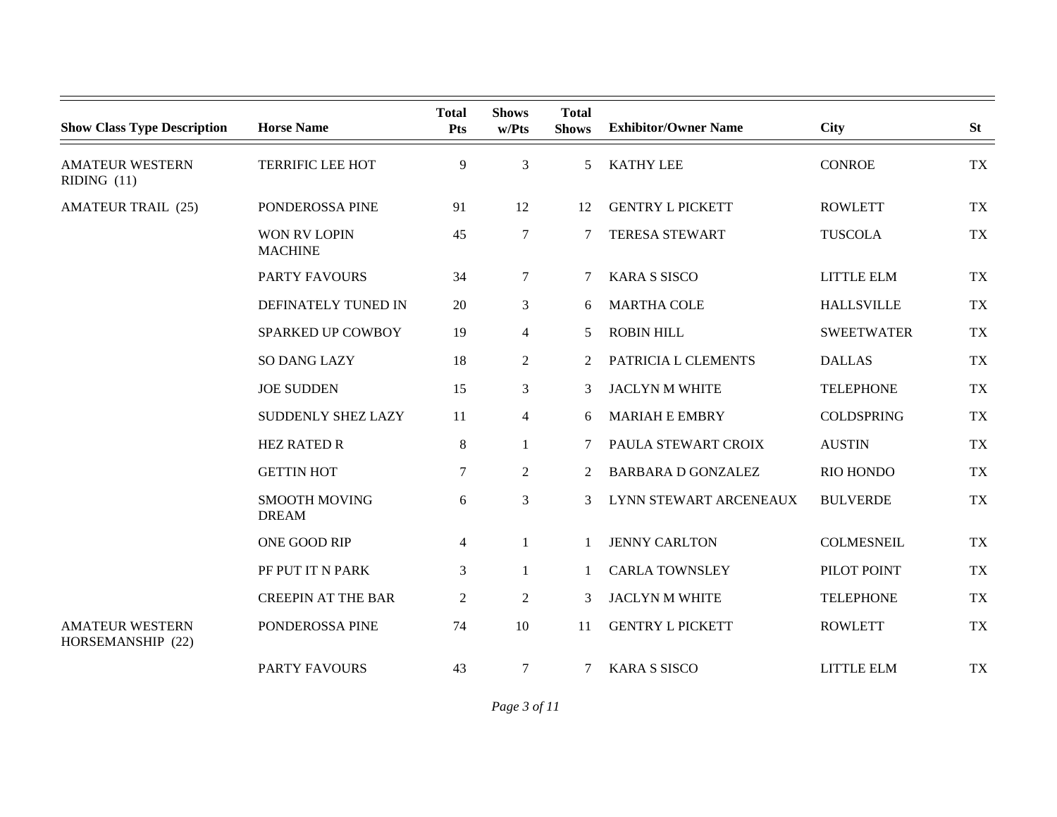| <b>Show Class Type Description</b>          | <b>Horse Name</b>                     | <b>Total</b><br><b>Pts</b> | <b>Shows</b><br>w/Pts | <b>Total</b><br><b>Shows</b> | <b>Exhibitor/Owner Name</b> | <b>City</b>       | <b>St</b> |
|---------------------------------------------|---------------------------------------|----------------------------|-----------------------|------------------------------|-----------------------------|-------------------|-----------|
| <b>AMATEUR WESTERN</b><br>RIDING (11)       | <b>TERRIFIC LEE HOT</b>               | 9                          | 3                     | $\mathcal{F}$                | <b>KATHY LEE</b>            | <b>CONROE</b>     | TX        |
| <b>AMATEUR TRAIL (25)</b>                   | PONDEROSSA PINE                       | 91                         | 12                    | 12                           | <b>GENTRY L PICKETT</b>     | <b>ROWLETT</b>    | TX        |
|                                             | <b>WON RV LOPIN</b><br><b>MACHINE</b> | 45                         | 7                     |                              | <b>TERESA STEWART</b>       | <b>TUSCOLA</b>    | TX        |
|                                             | <b>PARTY FAVOURS</b>                  | 34                         | $\overline{7}$        |                              | <b>KARA S SISCO</b>         | LITTLE ELM        | TX        |
|                                             | DEFINATELY TUNED IN                   | 20                         | 3                     | 6                            | <b>MARTHA COLE</b>          | <b>HALLSVILLE</b> | TX        |
|                                             | SPARKED UP COWBOY                     | 19                         | $\overline{4}$        | 5                            | <b>ROBIN HILL</b>           | <b>SWEETWATER</b> | TX        |
|                                             | <b>SO DANG LAZY</b>                   | 18                         | $\overline{2}$        | 2                            | PATRICIA L CLEMENTS         | <b>DALLAS</b>     | TX        |
|                                             | <b>JOE SUDDEN</b>                     | 15                         | 3                     | 3                            | <b>JACLYN M WHITE</b>       | <b>TELEPHONE</b>  | <b>TX</b> |
|                                             | SUDDENLY SHEZ LAZY                    | 11                         | $\overline{4}$        | 6                            | <b>MARIAH E EMBRY</b>       | <b>COLDSPRING</b> | TX        |
|                                             | <b>HEZ RATED R</b>                    | $\,8\,$                    | 1                     | 7                            | PAULA STEWART CROIX         | <b>AUSTIN</b>     | <b>TX</b> |
|                                             | <b>GETTIN HOT</b>                     | 7                          | 2                     | 2                            | <b>BARBARA D GONZALEZ</b>   | RIO HONDO         | TX        |
|                                             | <b>SMOOTH MOVING</b><br><b>DREAM</b>  | 6                          | 3                     | 3                            | LYNN STEWART ARCENEAUX      | <b>BULVERDE</b>   | <b>TX</b> |
|                                             | ONE GOOD RIP                          | 4                          | $\mathbf{1}$          |                              | <b>JENNY CARLTON</b>        | <b>COLMESNEIL</b> | TX        |
|                                             | PF PUT IT N PARK                      | 3                          | $\mathbf{1}$          |                              | <b>CARLA TOWNSLEY</b>       | PILOT POINT       | TX        |
|                                             | <b>CREEPIN AT THE BAR</b>             | 2                          | 2                     | 3                            | <b>JACLYN M WHITE</b>       | <b>TELEPHONE</b>  | TX        |
| <b>AMATEUR WESTERN</b><br>HORSEMANSHIP (22) | PONDEROSSA PINE                       | 74                         | 10                    | 11                           | <b>GENTRY L PICKETT</b>     | <b>ROWLETT</b>    | TX        |
|                                             | <b>PARTY FAVOURS</b>                  | 43                         | 7                     | 7                            | <b>KARA S SISCO</b>         | <b>LITTLE ELM</b> | TX        |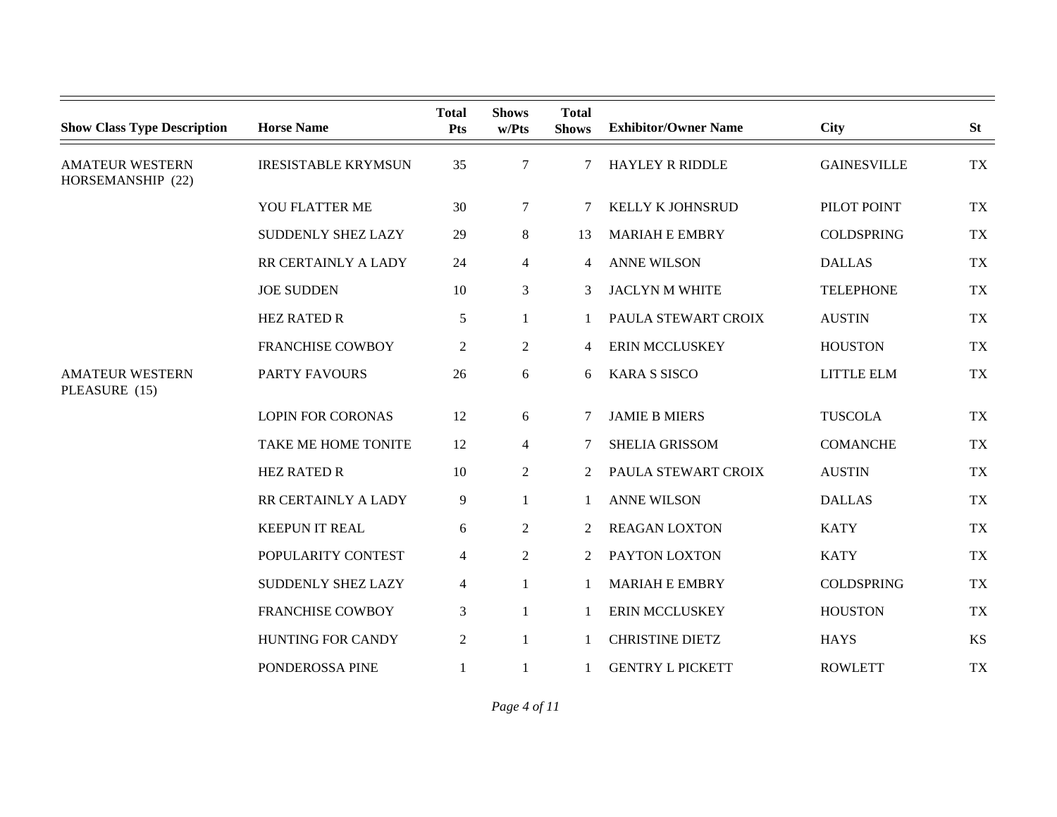| <b>Show Class Type Description</b>          | <b>Horse Name</b>          | <b>Total</b><br>Pts | <b>Shows</b><br>w/Pts | <b>Total</b><br><b>Shows</b> | <b>Exhibitor/Owner Name</b> | <b>City</b>        | <b>St</b> |
|---------------------------------------------|----------------------------|---------------------|-----------------------|------------------------------|-----------------------------|--------------------|-----------|
| <b>AMATEUR WESTERN</b><br>HORSEMANSHIP (22) | <b>IRESISTABLE KRYMSUN</b> | 35                  | $\tau$                | 7                            | <b>HAYLEY R RIDDLE</b>      | <b>GAINESVILLE</b> | <b>TX</b> |
|                                             | YOU FLATTER ME             | 30                  | $\tau$                | 7                            | KELLY K JOHNSRUD            | PILOT POINT        | <b>TX</b> |
|                                             | SUDDENLY SHEZ LAZY         | 29                  | 8                     | 13                           | <b>MARIAH E EMBRY</b>       | <b>COLDSPRING</b>  | <b>TX</b> |
|                                             | RR CERTAINLY A LADY        | 24                  | $\overline{4}$        | 4                            | <b>ANNE WILSON</b>          | <b>DALLAS</b>      | <b>TX</b> |
|                                             | <b>JOE SUDDEN</b>          | 10                  | $\mathfrak{Z}$        | 3                            | <b>JACLYN M WHITE</b>       | <b>TELEPHONE</b>   | <b>TX</b> |
|                                             | <b>HEZ RATED R</b>         | $\sqrt{5}$          | 1                     |                              | PAULA STEWART CROIX         | <b>AUSTIN</b>      | <b>TX</b> |
|                                             | <b>FRANCHISE COWBOY</b>    | $\overline{c}$      | $\overline{2}$        | 4                            | <b>ERIN MCCLUSKEY</b>       | <b>HOUSTON</b>     | <b>TX</b> |
| <b>AMATEUR WESTERN</b><br>PLEASURE (15)     | <b>PARTY FAVOURS</b>       | 26                  | 6                     | 6                            | <b>KARA S SISCO</b>         | LITTLE ELM         | <b>TX</b> |
|                                             | <b>LOPIN FOR CORONAS</b>   | 12                  | 6                     | 7                            | <b>JAMIE B MIERS</b>        | <b>TUSCOLA</b>     | <b>TX</b> |
|                                             | TAKE ME HOME TONITE        | 12                  | $\overline{4}$        | 7                            | SHELIA GRISSOM              | <b>COMANCHE</b>    | <b>TX</b> |
|                                             | <b>HEZ RATED R</b>         | 10                  | $\overline{2}$        | 2                            | PAULA STEWART CROIX         | <b>AUSTIN</b>      | <b>TX</b> |
|                                             | RR CERTAINLY A LADY        | 9                   | 1                     | 1                            | <b>ANNE WILSON</b>          | <b>DALLAS</b>      | <b>TX</b> |
|                                             | <b>KEEPUN IT REAL</b>      | 6                   | 2                     | 2                            | <b>REAGAN LOXTON</b>        | <b>KATY</b>        | <b>TX</b> |
|                                             | POPULARITY CONTEST         | 4                   | $\overline{2}$        | 2                            | PAYTON LOXTON               | <b>KATY</b>        | <b>TX</b> |
|                                             | SUDDENLY SHEZ LAZY         | 4                   | $\mathbf{1}$          | $\mathbf{1}$                 | <b>MARIAH E EMBRY</b>       | <b>COLDSPRING</b>  | <b>TX</b> |
|                                             | <b>FRANCHISE COWBOY</b>    | $\mathfrak{Z}$      | 1                     | 1                            | ERIN MCCLUSKEY              | <b>HOUSTON</b>     | <b>TX</b> |
|                                             | <b>HUNTING FOR CANDY</b>   | $\overline{2}$      | $\mathbf{1}$          |                              | <b>CHRISTINE DIETZ</b>      | <b>HAYS</b>        | <b>KS</b> |
|                                             | PONDEROSSA PINE            | 1                   | 1                     |                              | <b>GENTRY L PICKETT</b>     | <b>ROWLETT</b>     | <b>TX</b> |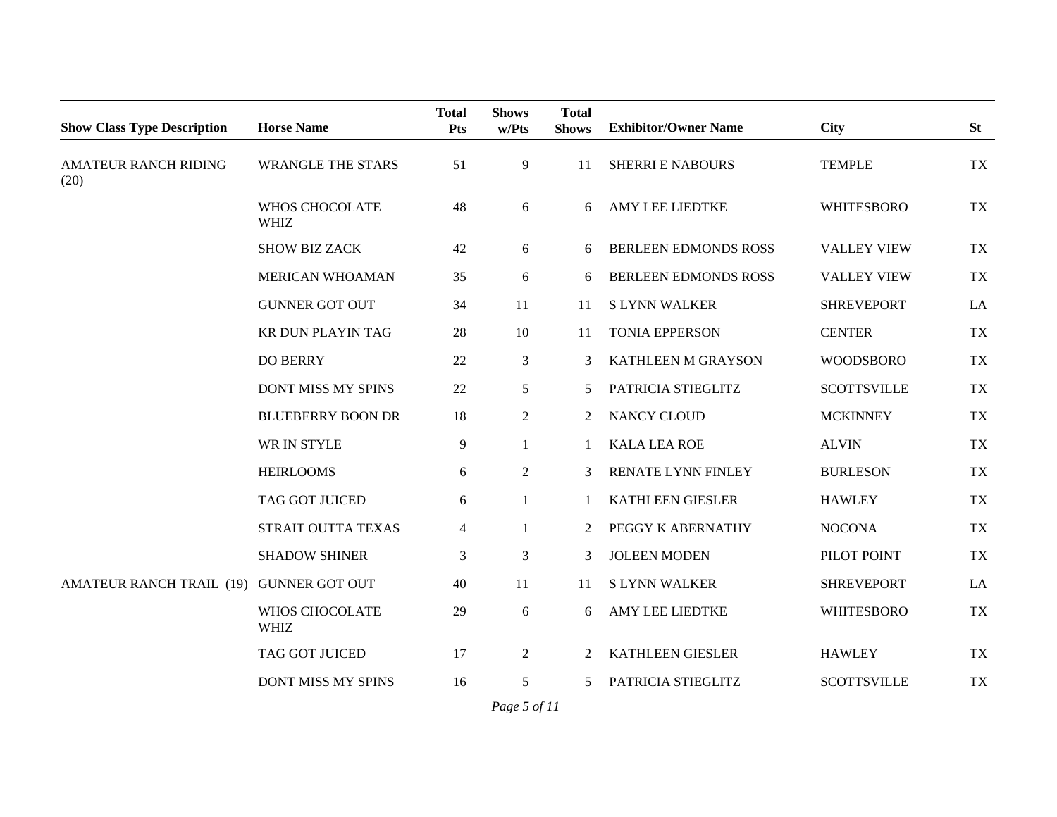| <b>Show Class Type Description</b>  | <b>Horse Name</b>             | <b>Total</b><br><b>Pts</b> | <b>Shows</b><br>w/Pts | <b>Total</b><br><b>Shows</b> | <b>Exhibitor/Owner Name</b> | City               | <b>St</b> |
|-------------------------------------|-------------------------------|----------------------------|-----------------------|------------------------------|-----------------------------|--------------------|-----------|
| <b>AMATEUR RANCH RIDING</b><br>(20) | <b>WRANGLE THE STARS</b>      | 51                         | 9                     | 11                           | <b>SHERRI E NABOURS</b>     | <b>TEMPLE</b>      | <b>TX</b> |
|                                     | WHOS CHOCOLATE<br><b>WHIZ</b> | 48                         | 6                     | 6                            | <b>AMY LEE LIEDTKE</b>      | <b>WHITESBORO</b>  | <b>TX</b> |
|                                     | <b>SHOW BIZ ZACK</b>          | 42                         | 6                     | 6                            | <b>BERLEEN EDMONDS ROSS</b> | <b>VALLEY VIEW</b> | <b>TX</b> |
|                                     | <b>MERICAN WHOAMAN</b>        | 35                         | 6                     | 6                            | <b>BERLEEN EDMONDS ROSS</b> | <b>VALLEY VIEW</b> | <b>TX</b> |
|                                     | <b>GUNNER GOT OUT</b>         | 34                         | 11                    | 11                           | <b>SLYNN WALKER</b>         | <b>SHREVEPORT</b>  | LA        |
|                                     | KR DUN PLAYIN TAG             | 28                         | 10                    | 11                           | <b>TONIA EPPERSON</b>       | <b>CENTER</b>      | <b>TX</b> |
|                                     | <b>DO BERRY</b>               | 22                         | 3                     | 3                            | KATHLEEN M GRAYSON          | <b>WOODSBORO</b>   | <b>TX</b> |
|                                     | <b>DONT MISS MY SPINS</b>     | 22                         | 5                     | 5.                           | PATRICIA STIEGLITZ          | <b>SCOTTSVILLE</b> | <b>TX</b> |
|                                     | <b>BLUEBERRY BOON DR</b>      | 18                         | $\overline{2}$        | 2                            | NANCY CLOUD                 | <b>MCKINNEY</b>    | <b>TX</b> |
|                                     | WR IN STYLE                   | 9                          | 1                     | 1                            | <b>KALA LEA ROE</b>         | <b>ALVIN</b>       | <b>TX</b> |
|                                     | <b>HEIRLOOMS</b>              | 6                          | $\overline{2}$        | 3                            | RENATE LYNN FINLEY          | <b>BURLESON</b>    | <b>TX</b> |
|                                     | TAG GOT JUICED                | 6                          | 1                     |                              | <b>KATHLEEN GIESLER</b>     | <b>HAWLEY</b>      | <b>TX</b> |
|                                     | STRAIT OUTTA TEXAS            | $\overline{4}$             | 1                     | 2                            | PEGGY K ABERNATHY           | <b>NOCONA</b>      | <b>TX</b> |
|                                     | <b>SHADOW SHINER</b>          | 3                          | 3                     | 3                            | <b>JOLEEN MODEN</b>         | PILOT POINT        | <b>TX</b> |
| <b>AMATEUR RANCH TRAIL (19)</b>     | <b>GUNNER GOT OUT</b>         | 40                         | 11                    | 11                           | <b>SLYNN WALKER</b>         | <b>SHREVEPORT</b>  | LA        |
|                                     | WHOS CHOCOLATE<br><b>WHIZ</b> | 29                         | 6                     | 6                            | AMY LEE LIEDTKE             | <b>WHITESBORO</b>  | <b>TX</b> |
|                                     | TAG GOT JUICED                | 17                         | $\overline{2}$        | 2                            | <b>KATHLEEN GIESLER</b>     | <b>HAWLEY</b>      | <b>TX</b> |
|                                     | <b>DONT MISS MY SPINS</b>     | 16                         | 5                     | 5.                           | PATRICIA STIEGLITZ          | <b>SCOTTSVILLE</b> | <b>TX</b> |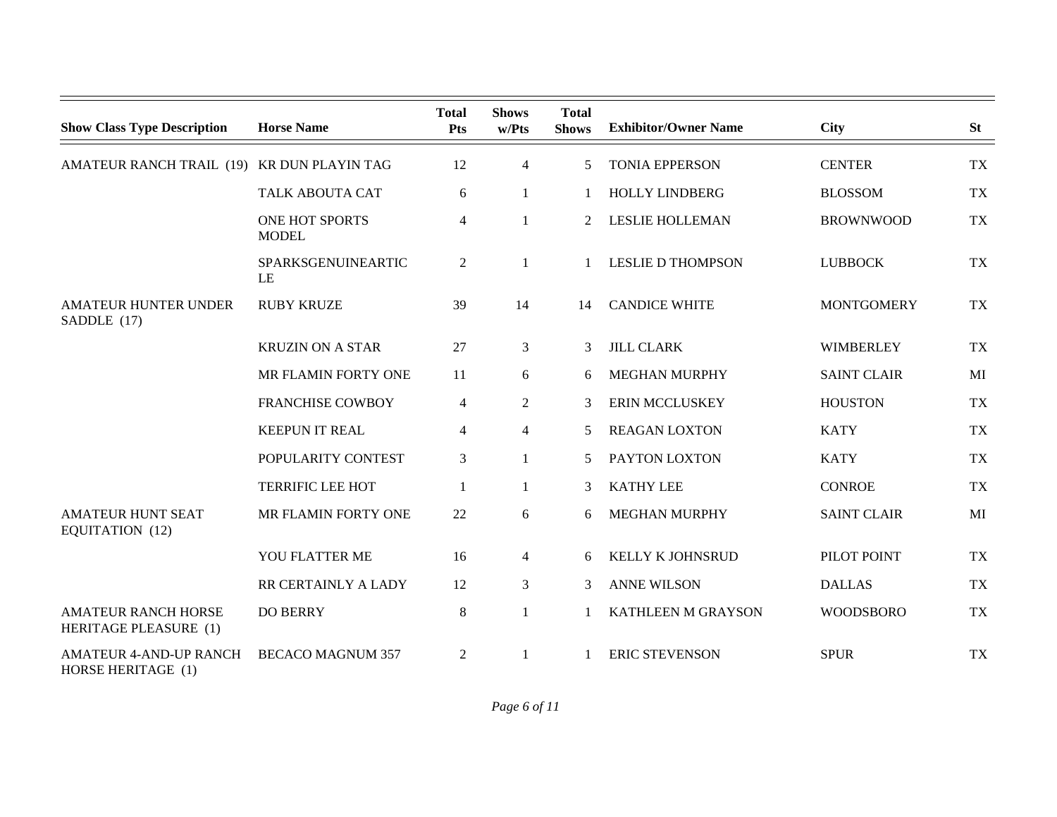| <b>Show Class Type Description</b>                  | <b>Horse Name</b>              | <b>Total</b><br>Pts | <b>Shows</b><br>w/Pts | <b>Total</b><br><b>Shows</b> | <b>Exhibitor/Owner Name</b> | <b>City</b>        | <b>St</b> |
|-----------------------------------------------------|--------------------------------|---------------------|-----------------------|------------------------------|-----------------------------|--------------------|-----------|
| AMATEUR RANCH TRAIL (19) KR DUN PLAYIN TAG          |                                | 12                  | $\overline{4}$        | 5                            | <b>TONIA EPPERSON</b>       | <b>CENTER</b>      | <b>TX</b> |
|                                                     | <b>TALK ABOUTA CAT</b>         | 6                   | 1                     | 1                            | <b>HOLLY LINDBERG</b>       | <b>BLOSSOM</b>     | <b>TX</b> |
|                                                     | ONE HOT SPORTS<br><b>MODEL</b> | 4                   | 1                     | $\overline{2}$               | <b>LESLIE HOLLEMAN</b>      | <b>BROWNWOOD</b>   | <b>TX</b> |
|                                                     | SPARKSGENUINEARTIC<br>LE       | $\overline{2}$      | 1                     |                              | <b>LESLIE D THOMPSON</b>    | <b>LUBBOCK</b>     | TX        |
| <b>AMATEUR HUNTER UNDER</b><br>SADDLE (17)          | <b>RUBY KRUZE</b>              | 39                  | 14                    | 14                           | <b>CANDICE WHITE</b>        | <b>MONTGOMERY</b>  | <b>TX</b> |
|                                                     | <b>KRUZIN ON A STAR</b>        | 27                  | 3                     | 3                            | <b>JILL CLARK</b>           | <b>WIMBERLEY</b>   | <b>TX</b> |
|                                                     | MR FLAMIN FORTY ONE            | 11                  | 6                     | 6                            | <b>MEGHAN MURPHY</b>        | <b>SAINT CLAIR</b> | MI        |
|                                                     | <b>FRANCHISE COWBOY</b>        | 4                   | $\overline{2}$        | 3                            | <b>ERIN MCCLUSKEY</b>       | <b>HOUSTON</b>     | <b>TX</b> |
|                                                     | <b>KEEPUN IT REAL</b>          | 4                   | $\overline{4}$        | 5                            | <b>REAGAN LOXTON</b>        | <b>KATY</b>        | <b>TX</b> |
|                                                     | POPULARITY CONTEST             | 3                   |                       | 5                            | PAYTON LOXTON               | <b>KATY</b>        | <b>TX</b> |
|                                                     | <b>TERRIFIC LEE HOT</b>        | 1                   | 1                     | 3                            | <b>KATHY LEE</b>            | <b>CONROE</b>      | <b>TX</b> |
| <b>AMATEUR HUNT SEAT</b><br>EQUITATION (12)         | MR FLAMIN FORTY ONE            | 22                  | 6                     | 6                            | <b>MEGHAN MURPHY</b>        | <b>SAINT CLAIR</b> | MI        |
|                                                     | YOU FLATTER ME                 | 16                  | $\overline{4}$        | 6                            | KELLY K JOHNSRUD            | PILOT POINT        | <b>TX</b> |
|                                                     | RR CERTAINLY A LADY            | 12                  | 3                     | 3                            | <b>ANNE WILSON</b>          | <b>DALLAS</b>      | TX        |
| <b>AMATEUR RANCH HORSE</b><br>HERITAGE PLEASURE (1) | <b>DO BERRY</b>                | $\,8\,$             | 1                     |                              | KATHLEEN M GRAYSON          | <b>WOODSBORO</b>   | <b>TX</b> |
| <b>AMATEUR 4-AND-UP RANCH</b><br>HORSE HERITAGE (1) | <b>BECACO MAGNUM 357</b>       | $\overline{2}$      | 1                     |                              | <b>ERIC STEVENSON</b>       | <b>SPUR</b>        | <b>TX</b> |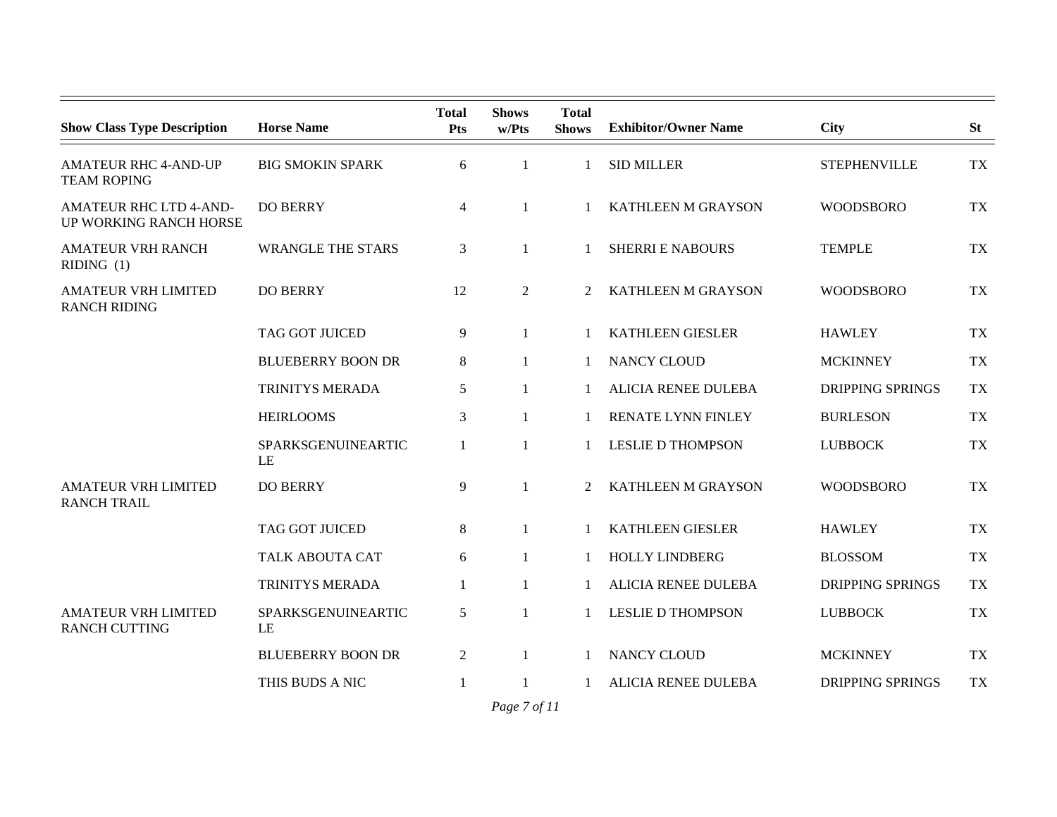| <b>Show Class Type Description</b>                      | <b>Horse Name</b>        | <b>Total</b><br><b>Pts</b> | <b>Shows</b><br>w/Pts | <b>Total</b><br><b>Shows</b> | <b>Exhibitor/Owner Name</b> | <b>City</b>             | <b>St</b> |
|---------------------------------------------------------|--------------------------|----------------------------|-----------------------|------------------------------|-----------------------------|-------------------------|-----------|
| <b>AMATEUR RHC 4-AND-UP</b><br><b>TEAM ROPING</b>       | <b>BIG SMOKIN SPARK</b>  | 6                          | $\mathbf{1}$          |                              | <b>SID MILLER</b>           | <b>STEPHENVILLE</b>     | <b>TX</b> |
| <b>AMATEUR RHC LTD 4-AND-</b><br>UP WORKING RANCH HORSE | <b>DO BERRY</b>          | 4                          | 1                     |                              | KATHLEEN M GRAYSON          | <b>WOODSBORO</b>        | <b>TX</b> |
| <b>AMATEUR VRH RANCH</b><br>RIDING (1)                  | <b>WRANGLE THE STARS</b> | 3                          | 1                     |                              | <b>SHERRI E NABOURS</b>     | <b>TEMPLE</b>           | <b>TX</b> |
| <b>AMATEUR VRH LIMITED</b><br><b>RANCH RIDING</b>       | <b>DO BERRY</b>          | 12                         | 2                     | $\mathcal{L}$                | <b>KATHLEEN M GRAYSON</b>   | <b>WOODSBORO</b>        | <b>TX</b> |
|                                                         | TAG GOT JUICED           | 9                          | $\mathbf{1}$          |                              | <b>KATHLEEN GIESLER</b>     | <b>HAWLEY</b>           | <b>TX</b> |
|                                                         | <b>BLUEBERRY BOON DR</b> | 8                          | 1                     | 1                            | NANCY CLOUD                 | <b>MCKINNEY</b>         | <b>TX</b> |
|                                                         | TRINITYS MERADA          | 5                          | $\mathbf{1}$          |                              | <b>ALICIA RENEE DULEBA</b>  | <b>DRIPPING SPRINGS</b> | <b>TX</b> |
|                                                         | <b>HEIRLOOMS</b>         | 3                          | 1                     |                              | RENATE LYNN FINLEY          | <b>BURLESON</b>         | <b>TX</b> |
|                                                         | SPARKSGENUINEARTIC<br>LE | $\mathbf{1}$               | 1                     |                              | <b>LESLIE D THOMPSON</b>    | <b>LUBBOCK</b>          | <b>TX</b> |
| <b>AMATEUR VRH LIMITED</b><br><b>RANCH TRAIL</b>        | <b>DO BERRY</b>          | 9                          | $\mathbf{1}$          | $\overline{2}$               | <b>KATHLEEN M GRAYSON</b>   | <b>WOODSBORO</b>        | <b>TX</b> |
|                                                         | TAG GOT JUICED           | 8                          | 1                     |                              | <b>KATHLEEN GIESLER</b>     | <b>HAWLEY</b>           | <b>TX</b> |
|                                                         | TALK ABOUTA CAT          | 6                          | $\mathbf{1}$          |                              | <b>HOLLY LINDBERG</b>       | <b>BLOSSOM</b>          | <b>TX</b> |
|                                                         | TRINITYS MERADA          | $\mathbf{1}$               | 1                     |                              | <b>ALICIA RENEE DULEBA</b>  | <b>DRIPPING SPRINGS</b> | <b>TX</b> |
| <b>AMATEUR VRH LIMITED</b><br><b>RANCH CUTTING</b>      | SPARKSGENUINEARTIC<br>LE | 5                          | 1                     |                              | <b>LESLIE D THOMPSON</b>    | <b>LUBBOCK</b>          | <b>TX</b> |
|                                                         | <b>BLUEBERRY BOON DR</b> | 2                          | 1                     |                              | <b>NANCY CLOUD</b>          | <b>MCKINNEY</b>         | <b>TX</b> |
|                                                         | THIS BUDS A NIC          | 1                          | 1                     |                              | <b>ALICIA RENEE DULEBA</b>  | <b>DRIPPING SPRINGS</b> | <b>TX</b> |

*Page 7 of 11*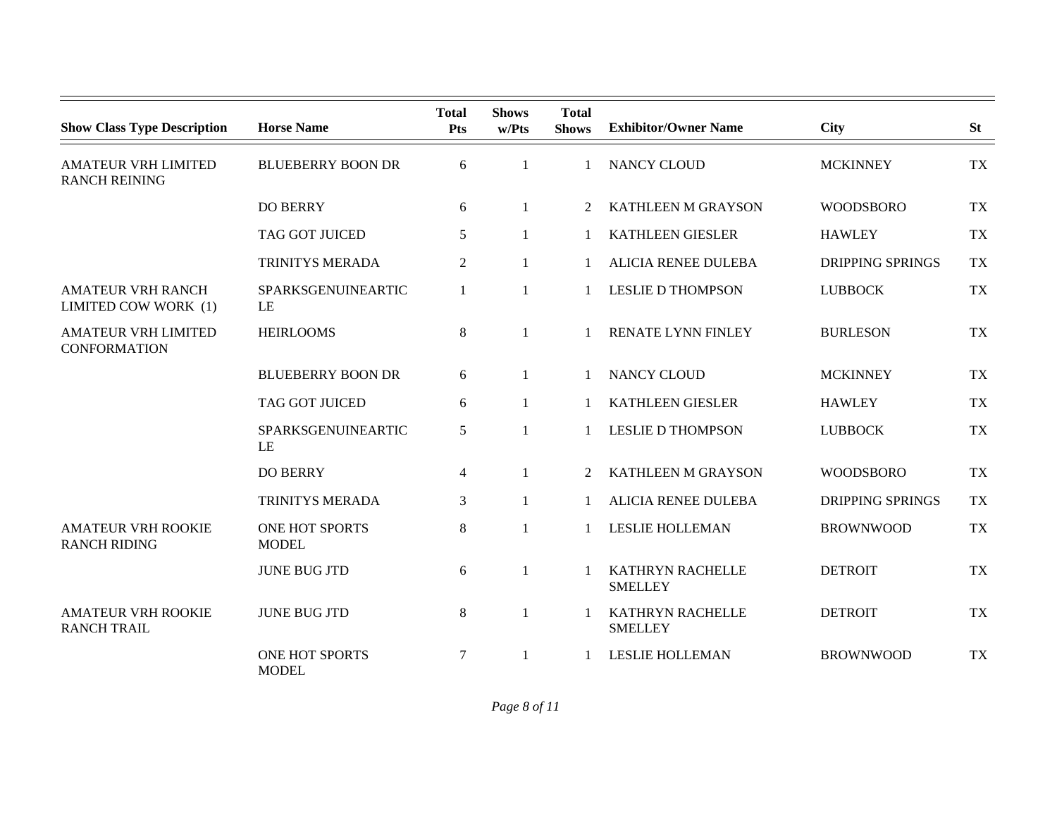| <b>Show Class Type Description</b>                 | <b>Horse Name</b>              | <b>Total</b><br>Pts | <b>Shows</b><br>w/Pts | <b>Total</b><br><b>Shows</b> | <b>Exhibitor/Owner Name</b>        | <b>City</b>             | <b>St</b> |
|----------------------------------------------------|--------------------------------|---------------------|-----------------------|------------------------------|------------------------------------|-------------------------|-----------|
| <b>AMATEUR VRH LIMITED</b><br><b>RANCH REINING</b> | <b>BLUEBERRY BOON DR</b>       | 6                   | $\mathbf{1}$          | $\mathbf{1}$                 | <b>NANCY CLOUD</b>                 | <b>MCKINNEY</b>         | <b>TX</b> |
|                                                    | <b>DO BERRY</b>                | 6                   | 1                     | 2                            | KATHLEEN M GRAYSON                 | <b>WOODSBORO</b>        | <b>TX</b> |
|                                                    | TAG GOT JUICED                 | 5                   | 1                     | 1                            | <b>KATHLEEN GIESLER</b>            | <b>HAWLEY</b>           | <b>TX</b> |
|                                                    | TRINITYS MERADA                | $\overline{2}$      | $\mathbf{1}$          | 1                            | <b>ALICIA RENEE DULEBA</b>         | <b>DRIPPING SPRINGS</b> | <b>TX</b> |
| <b>AMATEUR VRH RANCH</b><br>LIMITED COW WORK (1)   | SPARKSGENUINEARTIC<br>LE       | 1                   | $\mathbf{1}$          | 1                            | <b>LESLIE D THOMPSON</b>           | <b>LUBBOCK</b>          | <b>TX</b> |
| <b>AMATEUR VRH LIMITED</b><br><b>CONFORMATION</b>  | <b>HEIRLOOMS</b>               | $8\,$               | $\mathbf{1}$          | $\mathbf{1}$                 | RENATE LYNN FINLEY                 | <b>BURLESON</b>         | <b>TX</b> |
|                                                    | <b>BLUEBERRY BOON DR</b>       | 6                   | 1                     | 1                            | NANCY CLOUD                        | <b>MCKINNEY</b>         | <b>TX</b> |
|                                                    | TAG GOT JUICED                 | 6                   | $\mathbf{1}$          | 1                            | <b>KATHLEEN GIESLER</b>            | <b>HAWLEY</b>           | <b>TX</b> |
|                                                    | SPARKSGENUINEARTIC<br>LE       | 5                   | $\mathbf{1}$          | $\mathbf{1}$                 | <b>LESLIE D THOMPSON</b>           | <b>LUBBOCK</b>          | <b>TX</b> |
|                                                    | <b>DO BERRY</b>                | $\overline{4}$      | 1                     | $\overline{2}$               | KATHLEEN M GRAYSON                 | <b>WOODSBORO</b>        | <b>TX</b> |
|                                                    | TRINITYS MERADA                | 3                   | $\mathbf{1}$          | $\mathbf{1}$                 | <b>ALICIA RENEE DULEBA</b>         | <b>DRIPPING SPRINGS</b> | <b>TX</b> |
| <b>AMATEUR VRH ROOKIE</b><br><b>RANCH RIDING</b>   | ONE HOT SPORTS<br><b>MODEL</b> | 8                   | 1                     |                              | <b>LESLIE HOLLEMAN</b>             | <b>BROWNWOOD</b>        | <b>TX</b> |
|                                                    | <b>JUNE BUG JTD</b>            | 6                   | $\mathbf{1}$          | 1                            | KATHRYN RACHELLE<br><b>SMELLEY</b> | <b>DETROIT</b>          | <b>TX</b> |
| <b>AMATEUR VRH ROOKIE</b><br><b>RANCH TRAIL</b>    | <b>JUNE BUG JTD</b>            | 8                   | $\mathbf{1}$          | 1                            | KATHRYN RACHELLE<br><b>SMELLEY</b> | <b>DETROIT</b>          | <b>TX</b> |
|                                                    | ONE HOT SPORTS<br><b>MODEL</b> | 7                   | 1                     |                              | <b>LESLIE HOLLEMAN</b>             | <b>BROWNWOOD</b>        | <b>TX</b> |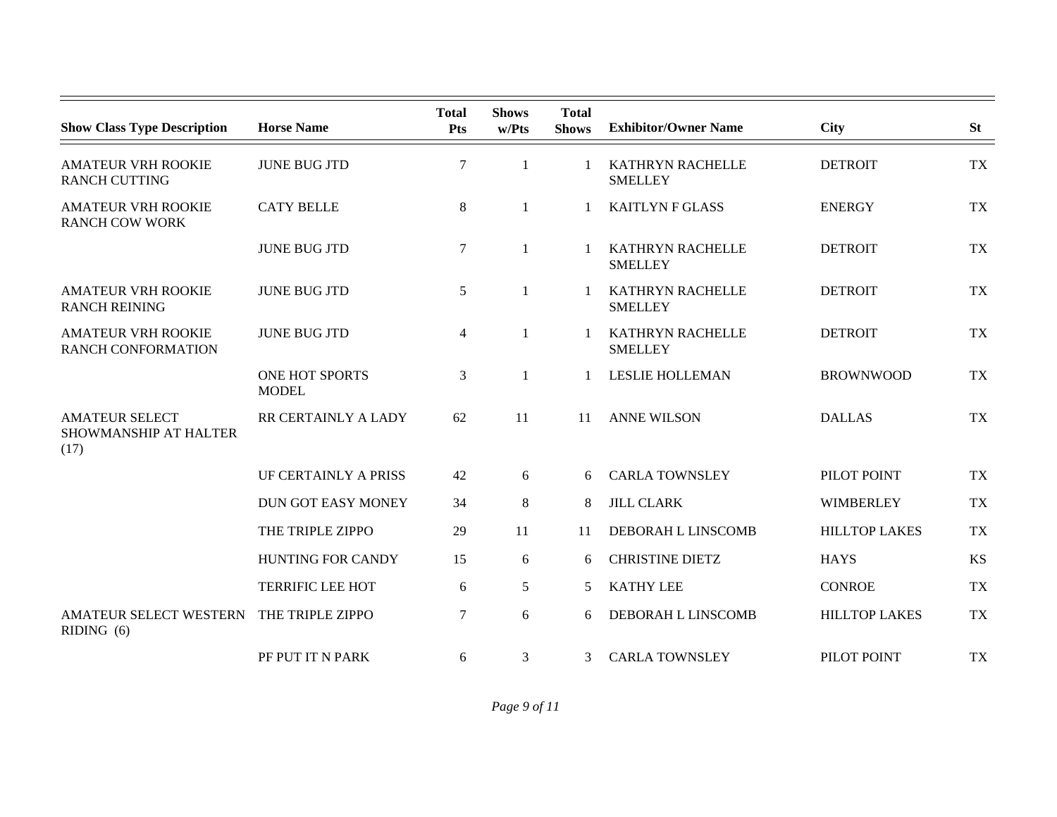| <b>Show Class Type Description</b>                     | <b>Horse Name</b>              | <b>Total</b><br><b>Pts</b> | <b>Shows</b><br>w/Pts | <b>Total</b><br><b>Shows</b> | <b>Exhibitor/Owner Name</b>               | <b>City</b>          | <b>St</b> |
|--------------------------------------------------------|--------------------------------|----------------------------|-----------------------|------------------------------|-------------------------------------------|----------------------|-----------|
| <b>AMATEUR VRH ROOKIE</b><br><b>RANCH CUTTING</b>      | <b>JUNE BUG JTD</b>            | $\boldsymbol{7}$           | 1                     | $\mathbf{1}$                 | <b>KATHRYN RACHELLE</b><br><b>SMELLEY</b> | <b>DETROIT</b>       | <b>TX</b> |
| <b>AMATEUR VRH ROOKIE</b><br><b>RANCH COW WORK</b>     | <b>CATY BELLE</b>              | 8                          | 1                     |                              | <b>KAITLYN F GLASS</b>                    | <b>ENERGY</b>        | <b>TX</b> |
|                                                        | <b>JUNE BUG JTD</b>            | $\boldsymbol{7}$           | 1                     |                              | KATHRYN RACHELLE<br><b>SMELLEY</b>        | <b>DETROIT</b>       | <b>TX</b> |
| <b>AMATEUR VRH ROOKIE</b><br><b>RANCH REINING</b>      | <b>JUNE BUG JTD</b>            | 5                          | 1                     | 1                            | KATHRYN RACHELLE<br><b>SMELLEY</b>        | <b>DETROIT</b>       | <b>TX</b> |
| <b>AMATEUR VRH ROOKIE</b><br><b>RANCH CONFORMATION</b> | <b>JUNE BUG JTD</b>            | $\overline{4}$             | $\mathbf{1}$          | -1                           | <b>KATHRYN RACHELLE</b><br><b>SMELLEY</b> | <b>DETROIT</b>       | <b>TX</b> |
|                                                        | ONE HOT SPORTS<br><b>MODEL</b> | 3                          | 1                     | 1                            | <b>LESLIE HOLLEMAN</b>                    | <b>BROWNWOOD</b>     | <b>TX</b> |
| <b>AMATEUR SELECT</b><br>SHOWMANSHIP AT HALTER<br>(17) | RR CERTAINLY A LADY            | 62                         | 11                    | 11                           | <b>ANNE WILSON</b>                        | <b>DALLAS</b>        | <b>TX</b> |
|                                                        | UF CERTAINLY A PRISS           | 42                         | 6                     | 6                            | <b>CARLA TOWNSLEY</b>                     | PILOT POINT          | <b>TX</b> |
|                                                        | <b>DUN GOT EASY MONEY</b>      | 34                         | $\,8$                 | 8                            | <b>JILL CLARK</b>                         | <b>WIMBERLEY</b>     | <b>TX</b> |
|                                                        | THE TRIPLE ZIPPO               | 29                         | 11                    | 11                           | DEBORAH L LINSCOMB                        | <b>HILLTOP LAKES</b> | <b>TX</b> |
|                                                        | <b>HUNTING FOR CANDY</b>       | 15                         | 6                     | 6                            | <b>CHRISTINE DIETZ</b>                    | <b>HAYS</b>          | <b>KS</b> |
|                                                        | <b>TERRIFIC LEE HOT</b>        | 6                          | 5                     | 5                            | <b>KATHY LEE</b>                          | <b>CONROE</b>        | <b>TX</b> |
| AMATEUR SELECT WESTERN<br>RIDING(6)                    | THE TRIPLE ZIPPO               | $\tau$                     | 6                     | 6                            | DEBORAH L LINSCOMB                        | <b>HILLTOP LAKES</b> | <b>TX</b> |
|                                                        | PF PUT IT N PARK               | 6                          | 3                     | 3                            | <b>CARLA TOWNSLEY</b>                     | PILOT POINT          | <b>TX</b> |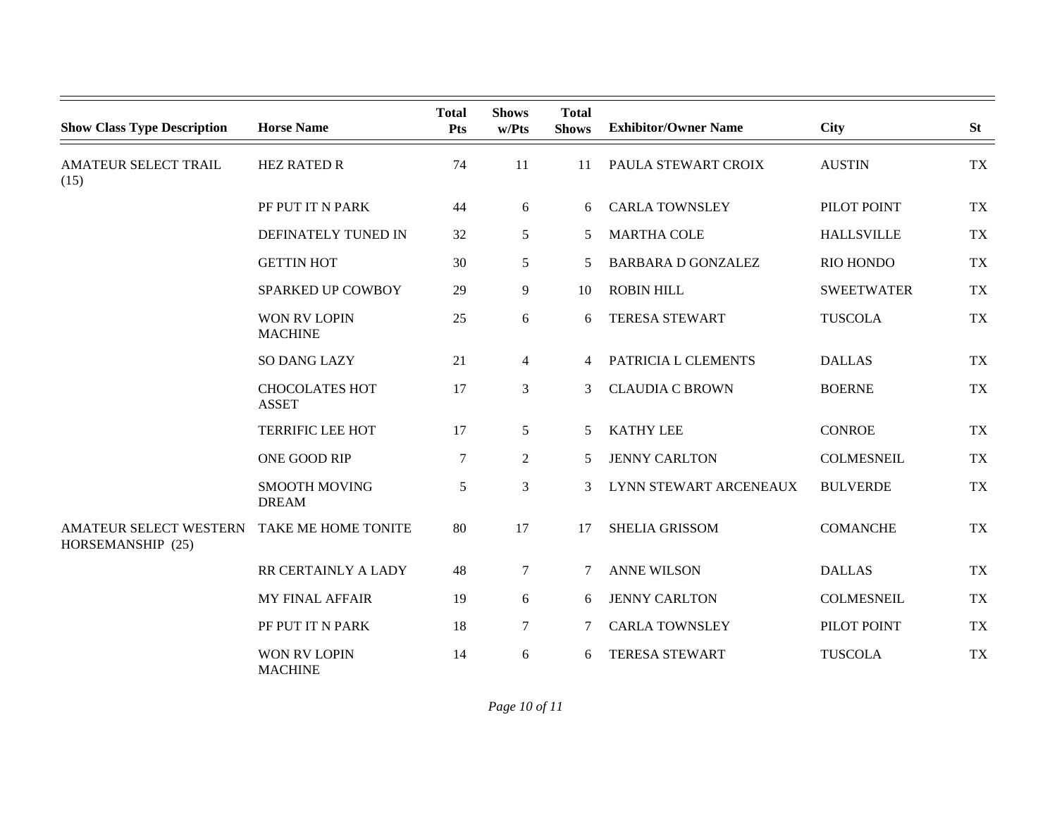| <b>Show Class Type Description</b>                 | <b>Horse Name</b>                     | <b>Total</b><br><b>Pts</b> | <b>Shows</b><br>w/Pts | <b>Total</b><br><b>Shows</b> | <b>Exhibitor/Owner Name</b> | <b>City</b>       | <b>St</b> |
|----------------------------------------------------|---------------------------------------|----------------------------|-----------------------|------------------------------|-----------------------------|-------------------|-----------|
| <b>AMATEUR SELECT TRAIL</b><br>(15)                | <b>HEZ RATED R</b>                    | 74                         | 11                    | 11                           | PAULA STEWART CROIX         | <b>AUSTIN</b>     | TX        |
|                                                    | PF PUT IT N PARK                      | 44                         | 6                     | 6                            | <b>CARLA TOWNSLEY</b>       | PILOT POINT       | TX        |
|                                                    | DEFINATELY TUNED IN                   | 32                         | 5                     | 5                            | <b>MARTHA COLE</b>          | <b>HALLSVILLE</b> | TX        |
|                                                    | <b>GETTIN HOT</b>                     | 30                         | $\mathfrak{S}$        | 5                            | <b>BARBARA D GONZALEZ</b>   | RIO HONDO         | <b>TX</b> |
|                                                    | SPARKED UP COWBOY                     | 29                         | 9                     | 10                           | <b>ROBIN HILL</b>           | <b>SWEETWATER</b> | <b>TX</b> |
|                                                    | <b>WON RV LOPIN</b><br><b>MACHINE</b> | 25                         | 6                     | 6                            | <b>TERESA STEWART</b>       | <b>TUSCOLA</b>    | TX        |
|                                                    | <b>SO DANG LAZY</b>                   | 21                         | $\overline{4}$        | 4                            | PATRICIA L CLEMENTS         | <b>DALLAS</b>     | TX        |
|                                                    | <b>CHOCOLATES HOT</b><br><b>ASSET</b> | 17                         | 3                     | 3                            | <b>CLAUDIA C BROWN</b>      | <b>BOERNE</b>     | <b>TX</b> |
|                                                    | <b>TERRIFIC LEE HOT</b>               | 17                         | 5                     | 5                            | <b>KATHY LEE</b>            | <b>CONROE</b>     | TX        |
|                                                    | ONE GOOD RIP                          | $\tau$                     | $\overline{2}$        | 5                            | <b>JENNY CARLTON</b>        | <b>COLMESNEIL</b> | TX        |
|                                                    | <b>SMOOTH MOVING</b><br><b>DREAM</b>  | 5                          | 3                     | 3                            | LYNN STEWART ARCENEAUX      | <b>BULVERDE</b>   | TX        |
| <b>AMATEUR SELECT WESTERN</b><br>HORSEMANSHIP (25) | TAKE ME HOME TONITE                   | 80                         | 17                    | 17                           | <b>SHELIA GRISSOM</b>       | <b>COMANCHE</b>   | <b>TX</b> |
|                                                    | RR CERTAINLY A LADY                   | 48                         | $\tau$                | 7                            | <b>ANNE WILSON</b>          | <b>DALLAS</b>     | <b>TX</b> |
|                                                    | MY FINAL AFFAIR                       | 19                         | 6                     | 6                            | <b>JENNY CARLTON</b>        | <b>COLMESNEIL</b> | <b>TX</b> |
|                                                    | PF PUT IT N PARK                      | 18                         | $\tau$                | 7                            | <b>CARLA TOWNSLEY</b>       | PILOT POINT       | TX        |
|                                                    | <b>WON RV LOPIN</b><br><b>MACHINE</b> | 14                         | 6                     | 6                            | <b>TERESA STEWART</b>       | <b>TUSCOLA</b>    | <b>TX</b> |